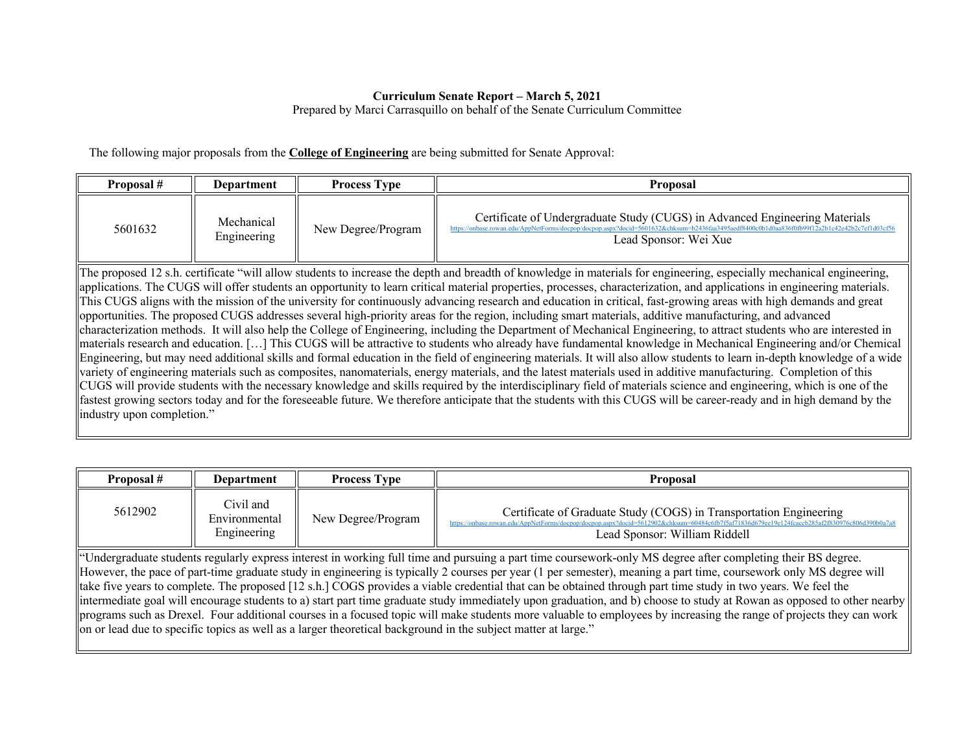## **Curriculum Senate Report – March 5, 2021**

Prepared by Marci Carrasquillo on behalf of the Senate Curriculum Committee

The following major proposals from the **College of Engineering** are being submitted for Senate Approval:

| Proposal #                                                                                                                                                                                                                                                                                                                                                                                                                                                                                                                                                                                                                                                                                                                                                                                                                                                                                                                                                                                                                                                                                                                                                                                                                                                                                                                                                                                                                                                                                                                                                                                                                                                                                                                                                   | Department                | <b>Process Type</b> | <b>Proposal</b>                                                                                      |  |
|--------------------------------------------------------------------------------------------------------------------------------------------------------------------------------------------------------------------------------------------------------------------------------------------------------------------------------------------------------------------------------------------------------------------------------------------------------------------------------------------------------------------------------------------------------------------------------------------------------------------------------------------------------------------------------------------------------------------------------------------------------------------------------------------------------------------------------------------------------------------------------------------------------------------------------------------------------------------------------------------------------------------------------------------------------------------------------------------------------------------------------------------------------------------------------------------------------------------------------------------------------------------------------------------------------------------------------------------------------------------------------------------------------------------------------------------------------------------------------------------------------------------------------------------------------------------------------------------------------------------------------------------------------------------------------------------------------------------------------------------------------------|---------------------------|---------------------|------------------------------------------------------------------------------------------------------|--|
| 5601632                                                                                                                                                                                                                                                                                                                                                                                                                                                                                                                                                                                                                                                                                                                                                                                                                                                                                                                                                                                                                                                                                                                                                                                                                                                                                                                                                                                                                                                                                                                                                                                                                                                                                                                                                      | Mechanical<br>Engineering | New Degree/Program  | Certificate of Undergraduate Study (CUGS) in Advanced Engineering Materials<br>Lead Sponsor: Wei Xue |  |
| The proposed 12 s.h. certificate "will allow students to increase the depth and breadth of knowledge in materials for engineering, especially mechanical engineering,<br>applications. The CUGS will offer students an opportunity to learn critical material properties, processes, characterization, and applications in engineering materials.<br>This CUGS aligns with the mission of the university for continuously advancing research and education in critical, fast-growing areas with high demands and great<br>opportunities. The proposed CUGS addresses several high-priority areas for the region, including smart materials, additive manufacturing, and advanced<br>characterization methods. It will also help the College of Engineering, including the Department of Mechanical Engineering, to attract students who are interested in<br>materials research and education. [] This CUGS will be attractive to students who already have fundamental knowledge in Mechanical Engineering and/or Chemical<br>Engineering, but may need additional skills and formal education in the field of engineering materials. It will also allow students to learn in-depth knowledge of a wide<br>variety of engineering materials such as composites, nanomaterials, energy materials, and the latest materials used in additive manufacturing. Completion of this<br>CUGS will provide students with the necessary knowledge and skills required by the interdisciplinary field of materials science and engineering, which is one of the<br>fastest growing sectors today and for the foreseeable future. We therefore anticipate that the students with this CUGS will be career-ready and in high demand by the<br>industry upon completion." |                           |                     |                                                                                                      |  |

| Proposal #                                                                                                                                                                                                                                                                                                                                                                                                                                                                                                                                                                                                                                                                                                                                                                                                                                                                                                                                                             | Department                                | <b>Process Type</b> | <b>Proposal</b>                                                                                                             |  |
|------------------------------------------------------------------------------------------------------------------------------------------------------------------------------------------------------------------------------------------------------------------------------------------------------------------------------------------------------------------------------------------------------------------------------------------------------------------------------------------------------------------------------------------------------------------------------------------------------------------------------------------------------------------------------------------------------------------------------------------------------------------------------------------------------------------------------------------------------------------------------------------------------------------------------------------------------------------------|-------------------------------------------|---------------------|-----------------------------------------------------------------------------------------------------------------------------|--|
| 5612902                                                                                                                                                                                                                                                                                                                                                                                                                                                                                                                                                                                                                                                                                                                                                                                                                                                                                                                                                                | Civil and<br>Environmental<br>Engineering | New Degree/Program  | Certificate of Graduate Study (COGS) in Transportation Engineering<br>https://onbase.rowan<br>Lead Sponsor: William Riddell |  |
| "Undergraduate students regularly express interest in working full time and pursuing a part time coursework-only MS degree after completing their BS degree.<br>However, the pace of part-time graduate study in engineering is typically 2 courses per year (1 per semester), meaning a part time, coursework only MS degree will<br>take five years to complete. The proposed [12 s.h.] COGS provides a viable credential that can be obtained through part time study in two years. We feel the<br>intermediate goal will encourage students to a) start part time graduate study immediately upon graduation, and b) choose to study at Rowan as opposed to other nearby  <br>programs such as Drexel. Four additional courses in a focused topic will make students more valuable to employees by increasing the range of projects they can work<br>on or lead due to specific topics as well as a larger theoretical background in the subject matter at large." |                                           |                     |                                                                                                                             |  |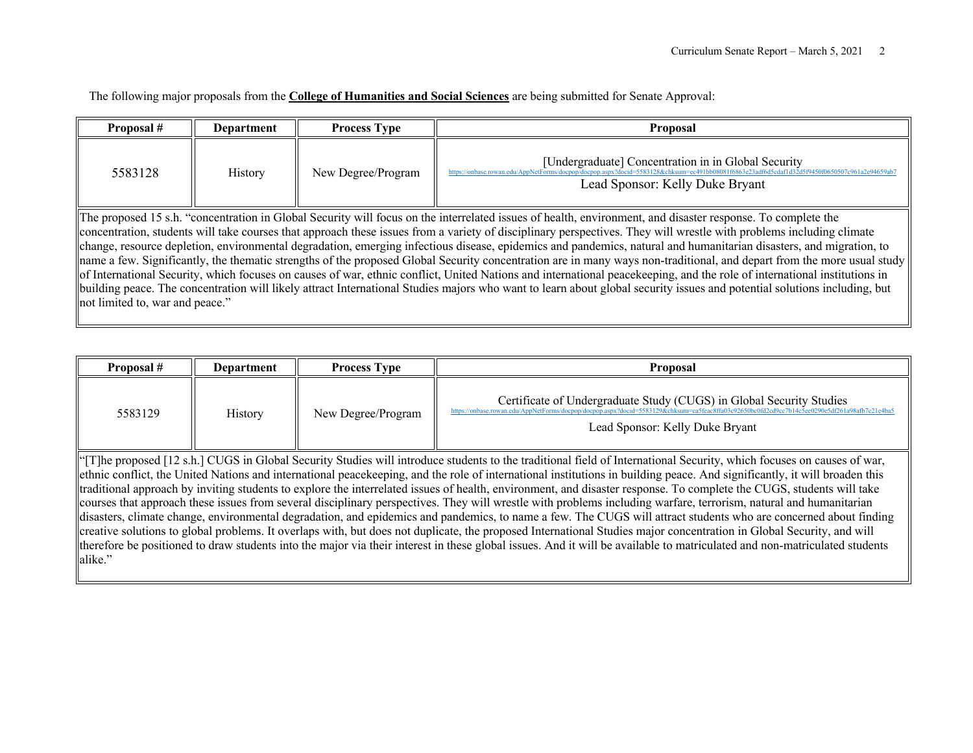The following major proposals from the **College of Humanities and Social Sciences** are being submitted for Senate Approval:

| Proposal #                                                                                                                                                                                                                                                                                                                                                                                                                                                                                                                                                                                                                                                                                                                                                                                                                                                                                                                                                                                                                                                                    | <b>Department</b> | <b>Process Type</b> | <b>Proposal</b>                                                                                                                       |  |
|-------------------------------------------------------------------------------------------------------------------------------------------------------------------------------------------------------------------------------------------------------------------------------------------------------------------------------------------------------------------------------------------------------------------------------------------------------------------------------------------------------------------------------------------------------------------------------------------------------------------------------------------------------------------------------------------------------------------------------------------------------------------------------------------------------------------------------------------------------------------------------------------------------------------------------------------------------------------------------------------------------------------------------------------------------------------------------|-------------------|---------------------|---------------------------------------------------------------------------------------------------------------------------------------|--|
| 5583128                                                                                                                                                                                                                                                                                                                                                                                                                                                                                                                                                                                                                                                                                                                                                                                                                                                                                                                                                                                                                                                                       | <b>History</b>    | New Degree/Program  | [Undergraduate] Concentration in in Global Security<br>https://onbase.rowan.edu/AppNetForms/docpor<br>Lead Sponsor: Kelly Duke Bryant |  |
| The proposed 15 s.h. "concentration in Global Security will focus on the interrelated issues of health, environment, and disaster response. To complete the<br>concentration, students will take courses that approach these issues from a variety of disciplinary perspectives. They will wrestle with problems including climate<br>change, resource depletion, environmental degradation, emerging infectious disease, epidemics and pandemics, natural and humanitarian disasters, and migration, to<br>name a few. Significantly, the thematic strengths of the proposed Global Security concentration are in many ways non-traditional, and depart from the more usual study<br>of International Security, which focuses on causes of war, ethnic conflict, United Nations and international peacekeeping, and the role of international institutions in<br>building peace. The concentration will likely attract International Studies majors who want to learn about global security issues and potential solutions including, but<br>not limited to, war and peace." |                   |                     |                                                                                                                                       |  |

| Proposal #                                                                                                                                                                                                                                                                                                                                                                                                                                                                                                                                                                                                                                                                                                                                                                                                                                                                                                                                                                                                                                                                                                                                                                                                                                                                                                                           | <b>Department</b> | <b>Process Type</b> | Proposal                                                                                                                                                                                                                                                 |
|--------------------------------------------------------------------------------------------------------------------------------------------------------------------------------------------------------------------------------------------------------------------------------------------------------------------------------------------------------------------------------------------------------------------------------------------------------------------------------------------------------------------------------------------------------------------------------------------------------------------------------------------------------------------------------------------------------------------------------------------------------------------------------------------------------------------------------------------------------------------------------------------------------------------------------------------------------------------------------------------------------------------------------------------------------------------------------------------------------------------------------------------------------------------------------------------------------------------------------------------------------------------------------------------------------------------------------------|-------------------|---------------------|----------------------------------------------------------------------------------------------------------------------------------------------------------------------------------------------------------------------------------------------------------|
| 5583129                                                                                                                                                                                                                                                                                                                                                                                                                                                                                                                                                                                                                                                                                                                                                                                                                                                                                                                                                                                                                                                                                                                                                                                                                                                                                                                              | History           | New Degree/Program  | Certificate of Undergraduate Study (CUGS) in Global Security Studies<br>https://onbase.rowan.edu/AppNetForms/docpop/docpop.aspx?docid=5583129&chksum=ca5feac8ffa03c92650bc0fd2cd9cc7b14c5ee0290e5df261a98afb7c21e4ba5<br>Lead Sponsor: Kelly Duke Bryant |
| "The proposed [12 s.h.] CUGS in Global Security Studies will introduce students to the traditional field of International Security, which focuses on causes of war,<br>ethnic conflict, the United Nations and international peacekeeping, and the role of international institutions in building peace. And significantly, it will broaden this<br>traditional approach by inviting students to explore the interrelated issues of health, environment, and disaster response. To complete the CUGS, students will take<br>courses that approach these issues from several disciplinary perspectives. They will wrestle with problems including warfare, terrorism, natural and humanitarian<br>disasters, climate change, environmental degradation, and epidemics and pandemics, to name a few. The CUGS will attract students who are concerned about finding<br>$\parallel \ldots, \perp \ldots, \perp \ldots, \perp \ldots, \perp \ldots, \perp \ldots, \perp \ldots, \perp \ldots, \perp \ldots, \perp \ldots, \perp \ldots, \perp \ldots, \perp \ldots, \perp \ldots, \perp \ldots, \perp \ldots, \perp \ldots, \perp \ldots, \perp \ldots, \perp \ldots, \perp \ldots, \perp \ldots, \perp \ldots, \perp \ldots, \perp \ldots, \perp \ldots, \perp \ldots, \perp \ldots, \perp \ldots, \perp \ldots, \perp \ldots, \perp \$ |                   |                     |                                                                                                                                                                                                                                                          |

creative solutions to global problems. It overlaps with, but does not duplicate, the proposed International Studies major concentration in Global Security, and will therefore be positioned to draw students into the major via their interest in these global issues. And it will be available to matriculated and non-matriculated students alike."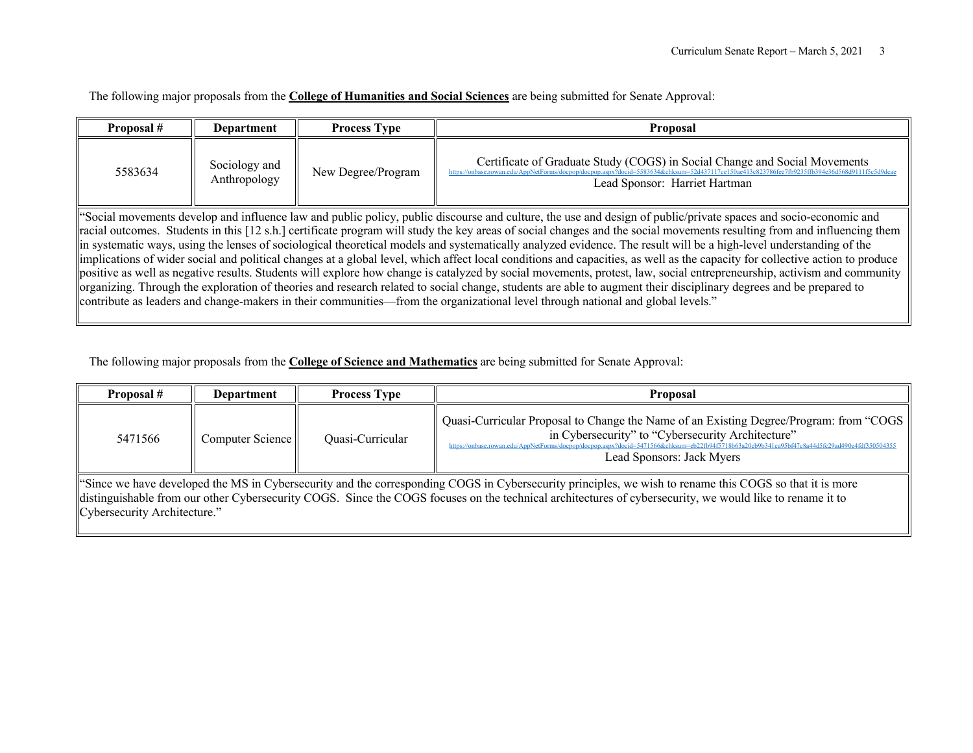The following major proposals from the **College of Humanities and Social Sciences** are being submitted for Senate Approval:

| Proposal #                                                                                                                                                                                                                                                                                                                                                                                                                                                                                                                                                                                                                                                                                                                                                                                                                                                                                                                                                                                                                                                                                                                                                                          | <b>Department</b>             | <b>Process Type</b> | <b>Proposal</b>                                                                                             |  |
|-------------------------------------------------------------------------------------------------------------------------------------------------------------------------------------------------------------------------------------------------------------------------------------------------------------------------------------------------------------------------------------------------------------------------------------------------------------------------------------------------------------------------------------------------------------------------------------------------------------------------------------------------------------------------------------------------------------------------------------------------------------------------------------------------------------------------------------------------------------------------------------------------------------------------------------------------------------------------------------------------------------------------------------------------------------------------------------------------------------------------------------------------------------------------------------|-------------------------------|---------------------|-------------------------------------------------------------------------------------------------------------|--|
| 5583634                                                                                                                                                                                                                                                                                                                                                                                                                                                                                                                                                                                                                                                                                                                                                                                                                                                                                                                                                                                                                                                                                                                                                                             | Sociology and<br>Anthropology | New Degree/Program  | Certificate of Graduate Study (COGS) in Social Change and Social Movements<br>Lead Sponsor: Harriet Hartman |  |
| "Social movements develop and influence law and public policy, public discourse and culture, the use and design of public/private spaces and socio-economic and<br>racial outcomes. Students in this [12 s.h.] certificate program will study the key areas of social changes and the social movements resulting from and influencing them<br>in systematic ways, using the lenses of sociological theoretical models and systematically analyzed evidence. The result will be a high-level understanding of the<br>limplications of wider social and political changes at a global level, which affect local conditions and capacities, as well as the capacity for collective action to produce<br>positive as well as negative results. Students will explore how change is catalyzed by social movements, protest, law, social entrepreneurship, activism and community<br>organizing. Through the exploration of theories and research related to social change, students are able to augment their disciplinary degrees and be prepared to<br>contribute as leaders and change-makers in their communities—from the organizational level through national and global levels." |                               |                     |                                                                                                             |  |

The following major proposals from the **College of Science and Mathematics** are being submitted for Senate Approval:

| Proposal #                                                                                                                                                                                                                                                                                                                                          | Department       | <b>Process Type</b> | <b>Proposal</b>                                                                                                                                                                                                                                                                                                           |  |
|-----------------------------------------------------------------------------------------------------------------------------------------------------------------------------------------------------------------------------------------------------------------------------------------------------------------------------------------------------|------------------|---------------------|---------------------------------------------------------------------------------------------------------------------------------------------------------------------------------------------------------------------------------------------------------------------------------------------------------------------------|--|
| 5471566                                                                                                                                                                                                                                                                                                                                             | Computer Science | Quasi-Curricular    | Quasi-Curricular Proposal to Change the Name of an Existing Degree/Program: from "COGS<br>in Cybersecurity" to "Cybersecurity Architecture"<br>https://onbase.rowan.edu/AppNetForms/docpop/docpop.aspx?docid=5471566&chksum=eb22fb94f5718b63a20cb9b341ca95bf47c8a44d5fc29ad490e4fdf350504355<br>Lead Sponsors: Jack Myers |  |
| "Since we have developed the MS in Cybersecurity and the corresponding COGS in Cybersecurity principles, we wish to rename this COGS so that it is more<br>distinguishable from our other Cybersecurity COGS. Since the COGS focuses on the technical architectures of cybersecurity, we would like to rename it to<br>Cybersecurity Architecture." |                  |                     |                                                                                                                                                                                                                                                                                                                           |  |